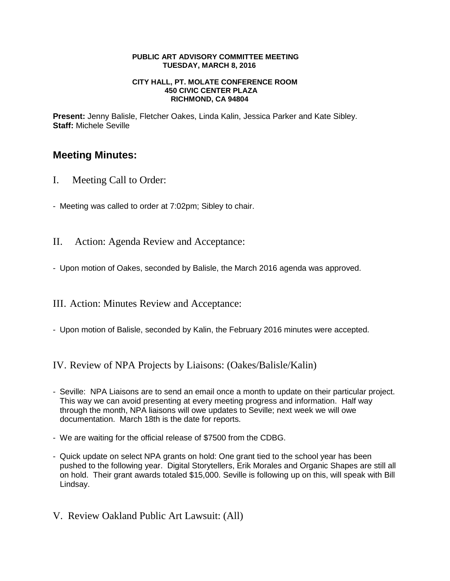#### **PUBLIC ART ADVISORY COMMITTEE MEETING TUESDAY, MARCH 8, 2016**

#### **CITY HALL, PT. MOLATE CONFERENCE ROOM 450 CIVIC CENTER PLAZA RICHMOND, CA 94804**

**Present:** Jenny Balisle, Fletcher Oakes, Linda Kalin, Jessica Parker and Kate Sibley. **Staff:** Michele Seville

# **Meeting Minutes:**

- I. Meeting Call to Order:
- Meeting was called to order at 7:02pm; Sibley to chair.
- II. Action: Agenda Review and Acceptance:
- Upon motion of Oakes, seconded by Balisle, the March 2016 agenda was approved.

III. Action: Minutes Review and Acceptance:

- Upon motion of Balisle, seconded by Kalin, the February 2016 minutes were accepted.

IV. Review of NPA Projects by Liaisons: (Oakes/Balisle/Kalin)

- Seville: NPA Liaisons are to send an email once a month to update on their particular project. This way we can avoid presenting at every meeting progress and information. Half way through the month, NPA liaisons will owe updates to Seville; next week we will owe documentation. March 18th is the date for reports.
- We are waiting for the official release of \$7500 from the CDBG.
- Quick update on select NPA grants on hold: One grant tied to the school year has been pushed to the following year. Digital Storytellers, Erik Morales and Organic Shapes are still all on hold. Their grant awards totaled \$15,000. Seville is following up on this, will speak with Bill Lindsay.
- V. Review Oakland Public Art Lawsuit: (All)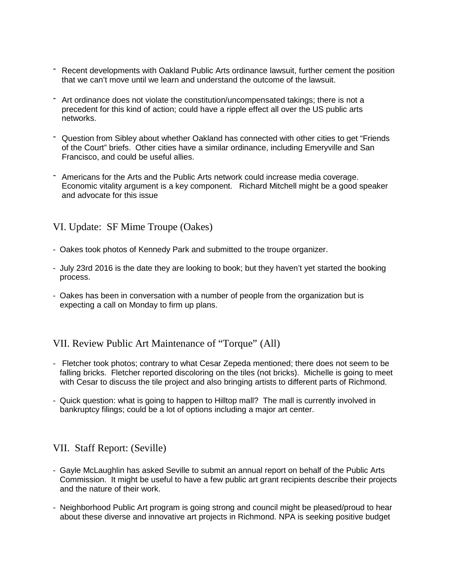- Recent developments with Oakland Public Arts ordinance lawsuit, further cement the position that we can't move until we learn and understand the outcome of the lawsuit.
- Art ordinance does not violate the constitution/uncompensated takings; there is not a precedent for this kind of action; could have a ripple effect all over the US public arts networks.
- Question from Sibley about whether Oakland has connected with other cities to get "Friends of the Court" briefs. Other cities have a similar ordinance, including Emeryville and San Francisco, and could be useful allies.
- Americans for the Arts and the Public Arts network could increase media coverage. Economic vitality argument is a key component. Richard Mitchell might be a good speaker and advocate for this issue

VI. Update: SF Mime Troupe (Oakes)

- Oakes took photos of Kennedy Park and submitted to the troupe organizer.
- July 23rd 2016 is the date they are looking to book; but they haven't yet started the booking process.
- Oakes has been in conversation with a number of people from the organization but is expecting a call on Monday to firm up plans.

VII. Review Public Art Maintenance of "Torque" (All)

- Fletcher took photos; contrary to what Cesar Zepeda mentioned; there does not seem to be falling bricks. Fletcher reported discoloring on the tiles (not bricks). Michelle is going to meet with Cesar to discuss the tile project and also bringing artists to different parts of Richmond.
- Quick question: what is going to happen to Hilltop mall? The mall is currently involved in bankruptcy filings; could be a lot of options including a major art center.

### VII. Staff Report: (Seville)

- Gayle McLaughlin has asked Seville to submit an annual report on behalf of the Public Arts Commission. It might be useful to have a few public art grant recipients describe their projects and the nature of their work.
- Neighborhood Public Art program is going strong and council might be pleased/proud to hear about these diverse and innovative art projects in Richmond. NPA is seeking positive budget